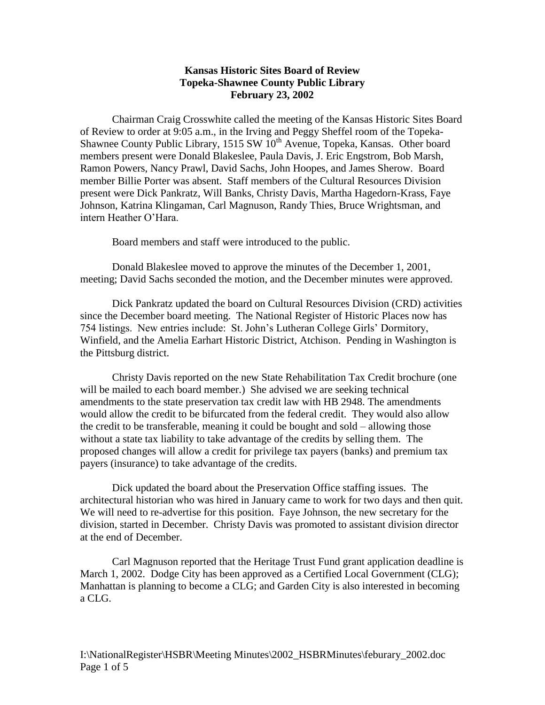## **Kansas Historic Sites Board of Review Topeka-Shawnee County Public Library February 23, 2002**

Chairman Craig Crosswhite called the meeting of the Kansas Historic Sites Board of Review to order at 9:05 a.m., in the Irving and Peggy Sheffel room of the Topeka-Shawnee County Public Library, 1515 SW  $10^{th}$  Avenue, Topeka, Kansas. Other board members present were Donald Blakeslee, Paula Davis, J. Eric Engstrom, Bob Marsh, Ramon Powers, Nancy Prawl, David Sachs, John Hoopes, and James Sherow. Board member Billie Porter was absent. Staff members of the Cultural Resources Division present were Dick Pankratz, Will Banks, Christy Davis, Martha Hagedorn-Krass, Faye Johnson, Katrina Klingaman, Carl Magnuson, Randy Thies, Bruce Wrightsman, and intern Heather O'Hara.

Board members and staff were introduced to the public.

Donald Blakeslee moved to approve the minutes of the December 1, 2001, meeting; David Sachs seconded the motion, and the December minutes were approved.

Dick Pankratz updated the board on Cultural Resources Division (CRD) activities since the December board meeting. The National Register of Historic Places now has 754 listings. New entries include: St. John's Lutheran College Girls' Dormitory, Winfield, and the Amelia Earhart Historic District, Atchison. Pending in Washington is the Pittsburg district.

Christy Davis reported on the new State Rehabilitation Tax Credit brochure (one will be mailed to each board member.) She advised we are seeking technical amendments to the state preservation tax credit law with HB 2948. The amendments would allow the credit to be bifurcated from the federal credit. They would also allow the credit to be transferable, meaning it could be bought and sold – allowing those without a state tax liability to take advantage of the credits by selling them. The proposed changes will allow a credit for privilege tax payers (banks) and premium tax payers (insurance) to take advantage of the credits.

Dick updated the board about the Preservation Office staffing issues. The architectural historian who was hired in January came to work for two days and then quit. We will need to re-advertise for this position. Faye Johnson, the new secretary for the division, started in December. Christy Davis was promoted to assistant division director at the end of December.

Carl Magnuson reported that the Heritage Trust Fund grant application deadline is March 1, 2002. Dodge City has been approved as a Certified Local Government (CLG); Manhattan is planning to become a CLG; and Garden City is also interested in becoming a CLG.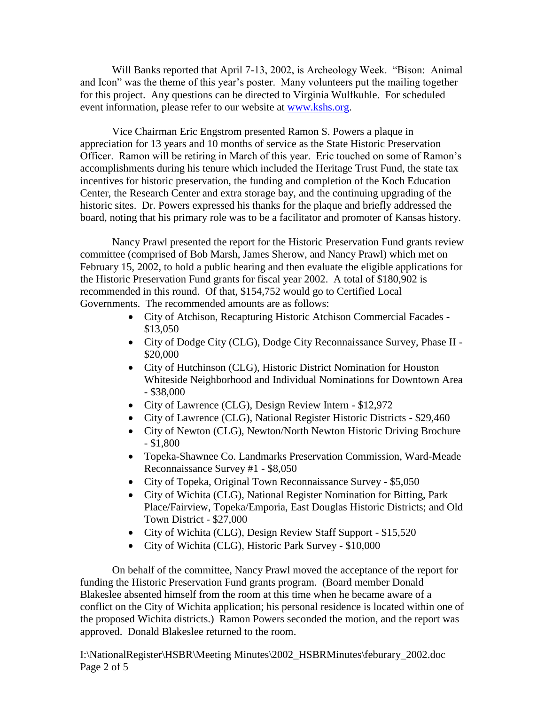Will Banks reported that April 7-13, 2002, is Archeology Week. "Bison: Animal and Icon" was the theme of this year's poster. Many volunteers put the mailing together for this project. Any questions can be directed to Virginia Wulfkuhle. For scheduled event information, please refer to our website at [www.kshs.org.](http://www.kshs.org/)

Vice Chairman Eric Engstrom presented Ramon S. Powers a plaque in appreciation for 13 years and 10 months of service as the State Historic Preservation Officer. Ramon will be retiring in March of this year. Eric touched on some of Ramon's accomplishments during his tenure which included the Heritage Trust Fund, the state tax incentives for historic preservation, the funding and completion of the Koch Education Center, the Research Center and extra storage bay, and the continuing upgrading of the historic sites. Dr. Powers expressed his thanks for the plaque and briefly addressed the board, noting that his primary role was to be a facilitator and promoter of Kansas history.

Nancy Prawl presented the report for the Historic Preservation Fund grants review committee (comprised of Bob Marsh, James Sherow, and Nancy Prawl) which met on February 15, 2002, to hold a public hearing and then evaluate the eligible applications for the Historic Preservation Fund grants for fiscal year 2002. A total of \$180,902 is recommended in this round. Of that, \$154,752 would go to Certified Local Governments. The recommended amounts are as follows:

- City of Atchison, Recapturing Historic Atchison Commercial Facades \$13,050
- City of Dodge City (CLG), Dodge City Reconnaissance Survey, Phase II \$20,000
- City of Hutchinson (CLG), Historic District Nomination for Houston Whiteside Neighborhood and Individual Nominations for Downtown Area - \$38,000
- City of Lawrence (CLG), Design Review Intern \$12,972
- City of Lawrence (CLG), National Register Historic Districts \$29,460
- City of Newton (CLG), Newton/North Newton Historic Driving Brochure - \$1,800
- Topeka-Shawnee Co. Landmarks Preservation Commission, Ward-Meade Reconnaissance Survey #1 - \$8,050
- City of Topeka, Original Town Reconnaissance Survey \$5,050
- City of Wichita (CLG), National Register Nomination for Bitting, Park Place/Fairview, Topeka/Emporia, East Douglas Historic Districts; and Old Town District - \$27,000
- City of Wichita (CLG), Design Review Staff Support \$15,520
- City of Wichita (CLG), Historic Park Survey \$10,000

On behalf of the committee, Nancy Prawl moved the acceptance of the report for funding the Historic Preservation Fund grants program. (Board member Donald Blakeslee absented himself from the room at this time when he became aware of a conflict on the City of Wichita application; his personal residence is located within one of the proposed Wichita districts.) Ramon Powers seconded the motion, and the report was approved. Donald Blakeslee returned to the room.

I:\NationalRegister\HSBR\Meeting Minutes\2002\_HSBRMinutes\feburary\_2002.doc Page 2 of 5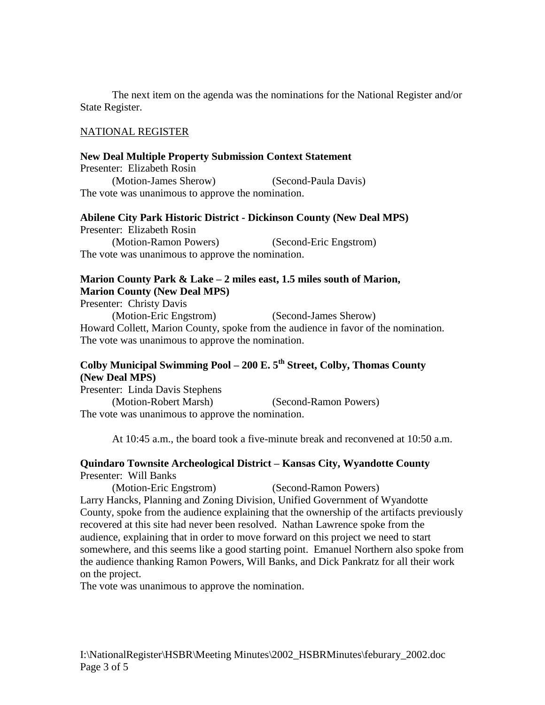The next item on the agenda was the nominations for the National Register and/or State Register.

#### NATIONAL REGISTER

#### **New Deal Multiple Property Submission Context Statement**

Presenter: Elizabeth Rosin (Motion-James Sherow) (Second-Paula Davis) The vote was unanimous to approve the nomination.

#### **Abilene City Park Historic District - Dickinson County (New Deal MPS)**

Presenter: Elizabeth Rosin (Motion-Ramon Powers) (Second-Eric Engstrom) The vote was unanimous to approve the nomination.

# **Marion County Park & Lake – 2 miles east, 1.5 miles south of Marion,**

**Marion County (New Deal MPS)** Presenter: Christy Davis (Motion-Eric Engstrom) (Second-James Sherow) Howard Collett, Marion County, spoke from the audience in favor of the nomination. The vote was unanimous to approve the nomination.

## **Colby Municipal Swimming Pool – 200 E. 5th Street, Colby, Thomas County (New Deal MPS)**

Presenter: Linda Davis Stephens (Motion-Robert Marsh) (Second-Ramon Powers) The vote was unanimous to approve the nomination.

At 10:45 a.m., the board took a five-minute break and reconvened at 10:50 a.m.

#### **Quindaro Townsite Archeological District – Kansas City, Wyandotte County** Presenter: Will Banks

(Motion-Eric Engstrom) (Second-Ramon Powers) Larry Hancks, Planning and Zoning Division, Unified Government of Wyandotte County, spoke from the audience explaining that the ownership of the artifacts previously recovered at this site had never been resolved. Nathan Lawrence spoke from the audience, explaining that in order to move forward on this project we need to start somewhere, and this seems like a good starting point. Emanuel Northern also spoke from the audience thanking Ramon Powers, Will Banks, and Dick Pankratz for all their work on the project.

The vote was unanimous to approve the nomination.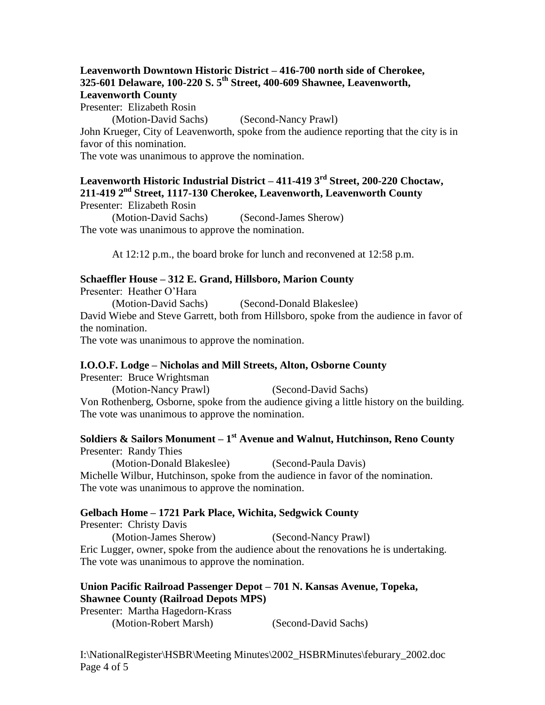#### **Leavenworth Downtown Historic District – 416-700 north side of Cherokee, 325-601 Delaware, 100-220 S. 5th Street, 400-609 Shawnee, Leavenworth, Leavenworth County**

Presenter: Elizabeth Rosin

(Motion-David Sachs) (Second-Nancy Prawl)

John Krueger, City of Leavenworth, spoke from the audience reporting that the city is in favor of this nomination.

The vote was unanimous to approve the nomination.

**Leavenworth Historic Industrial District – 411-419 3rd Street, 200-220 Choctaw, 211-419 2nd Street, 1117-130 Cherokee, Leavenworth, Leavenworth County** Presenter: Elizabeth Rosin

(Motion-David Sachs) (Second-James Sherow) The vote was unanimous to approve the nomination.

At 12:12 p.m., the board broke for lunch and reconvened at 12:58 p.m.

## **Schaeffler House – 312 E. Grand, Hillsboro, Marion County**

Presenter: Heather O'Hara

(Motion-David Sachs) (Second-Donald Blakeslee) David Wiebe and Steve Garrett, both from Hillsboro, spoke from the audience in favor of the nomination.

The vote was unanimous to approve the nomination.

## **I.O.O.F. Lodge – Nicholas and Mill Streets, Alton, Osborne County**

Presenter: Bruce Wrightsman

(Motion-Nancy Prawl) (Second-David Sachs)

Von Rothenberg, Osborne, spoke from the audience giving a little history on the building. The vote was unanimous to approve the nomination.

## **Soldiers & Sailors Monument – 1 st Avenue and Walnut, Hutchinson, Reno County** Presenter: Randy Thies

(Motion-Donald Blakeslee) (Second-Paula Davis) Michelle Wilbur, Hutchinson, spoke from the audience in favor of the nomination. The vote was unanimous to approve the nomination.

## **Gelbach Home – 1721 Park Place, Wichita, Sedgwick County**

Presenter: Christy Davis (Motion-James Sherow) (Second-Nancy Prawl) Eric Lugger, owner, spoke from the audience about the renovations he is undertaking. The vote was unanimous to approve the nomination.

## **Union Pacific Railroad Passenger Depot – 701 N. Kansas Avenue, Topeka, Shawnee County (Railroad Depots MPS)**

Presenter: Martha Hagedorn-Krass

(Motion-Robert Marsh) (Second-David Sachs)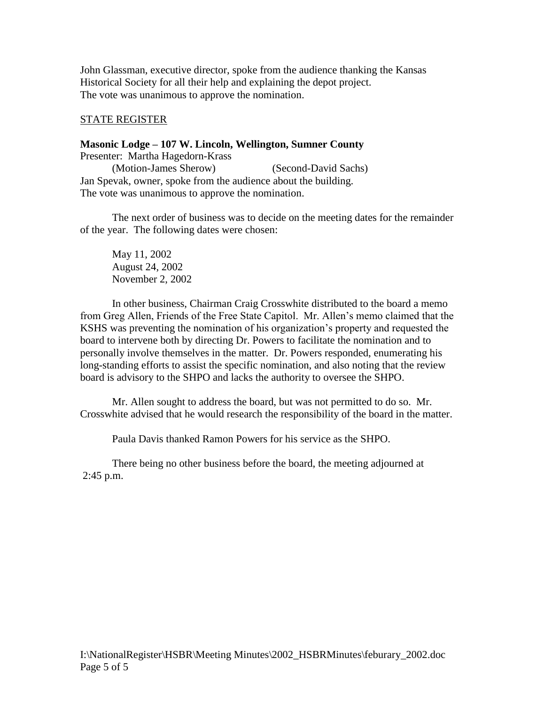John Glassman, executive director, spoke from the audience thanking the Kansas Historical Society for all their help and explaining the depot project. The vote was unanimous to approve the nomination.

## STATE REGISTER

**Masonic Lodge – 107 W. Lincoln, Wellington, Sumner County** Presenter: Martha Hagedorn-Krass (Motion-James Sherow) (Second-David Sachs) Jan Spevak, owner, spoke from the audience about the building. The vote was unanimous to approve the nomination.

The next order of business was to decide on the meeting dates for the remainder of the year. The following dates were chosen:

May 11, 2002 August 24, 2002 November 2, 2002

In other business, Chairman Craig Crosswhite distributed to the board a memo from Greg Allen, Friends of the Free State Capitol. Mr. Allen's memo claimed that the KSHS was preventing the nomination of his organization's property and requested the board to intervene both by directing Dr. Powers to facilitate the nomination and to personally involve themselves in the matter. Dr. Powers responded, enumerating his long-standing efforts to assist the specific nomination, and also noting that the review board is advisory to the SHPO and lacks the authority to oversee the SHPO.

Mr. Allen sought to address the board, but was not permitted to do so. Mr. Crosswhite advised that he would research the responsibility of the board in the matter.

Paula Davis thanked Ramon Powers for his service as the SHPO.

There being no other business before the board, the meeting adjourned at 2:45 p.m.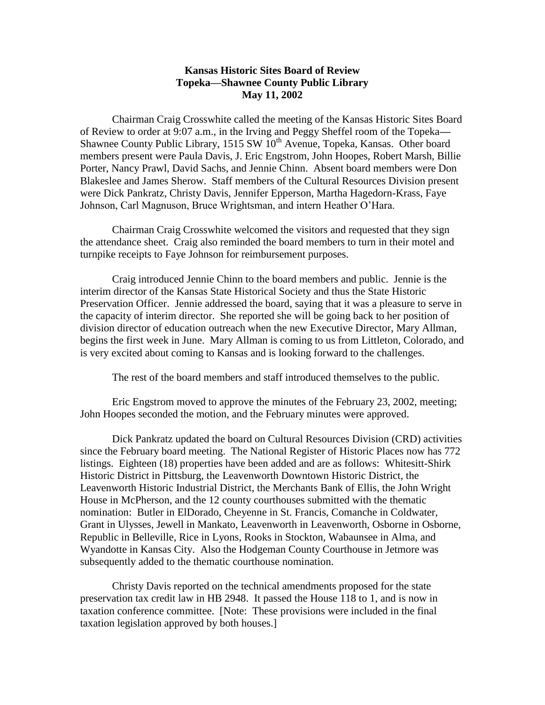### **Kansas Historic Sites Board of Review Topeka—Shawnee County Public Library May 11, 2002**

Chairman Craig Crosswhite called the meeting of the Kansas Historic Sites Board of Review to order at 9:07 a.m., in the Irving and Peggy Sheffel room of the Topeka**—** Shawnee County Public Library, 1515 SW  $10^{th}$  Avenue, Topeka, Kansas. Other board members present were Paula Davis, J. Eric Engstrom, John Hoopes, Robert Marsh, Billie Porter, Nancy Prawl, David Sachs, and Jennie Chinn. Absent board members were Don Blakeslee and James Sherow. Staff members of the Cultural Resources Division present were Dick Pankratz, Christy Davis, Jennifer Epperson, Martha Hagedorn-Krass, Faye Johnson, Carl Magnuson, Bruce Wrightsman, and intern Heather O'Hara.

Chairman Craig Crosswhite welcomed the visitors and requested that they sign the attendance sheet. Craig also reminded the board members to turn in their motel and turnpike receipts to Faye Johnson for reimbursement purposes.

Craig introduced Jennie Chinn to the board members and public. Jennie is the interim director of the Kansas State Historical Society and thus the State Historic Preservation Officer. Jennie addressed the board, saying that it was a pleasure to serve in the capacity of interim director. She reported she will be going back to her position of division director of education outreach when the new Executive Director, Mary Allman, begins the first week in June. Mary Allman is coming to us from Littleton, Colorado, and is very excited about coming to Kansas and is looking forward to the challenges.

The rest of the board members and staff introduced themselves to the public.

Eric Engstrom moved to approve the minutes of the February 23, 2002, meeting; John Hoopes seconded the motion, and the February minutes were approved.

Dick Pankratz updated the board on Cultural Resources Division (CRD) activities since the February board meeting. The National Register of Historic Places now has 772 listings. Eighteen (18) properties have been added and are as follows: Whitesitt-Shirk Historic District in Pittsburg, the Leavenworth Downtown Historic District, the Leavenworth Historic Industrial District, the Merchants Bank of Ellis, the John Wright House in McPherson, and the 12 county courthouses submitted with the thematic nomination: Butler in ElDorado, Cheyenne in St. Francis, Comanche in Coldwater, Grant in Ulysses, Jewell in Mankato, Leavenworth in Leavenworth, Osborne in Osborne, Republic in Belleville, Rice in Lyons, Rooks in Stockton, Wabaunsee in Alma, and Wyandotte in Kansas City. Also the Hodgeman County Courthouse in Jetmore was subsequently added to the thematic courthouse nomination.

Christy Davis reported on the technical amendments proposed for the state preservation tax credit law in HB 2948. It passed the House 118 to 1, and is now in taxation conference committee. [Note: These provisions were included in the final taxation legislation approved by both houses.]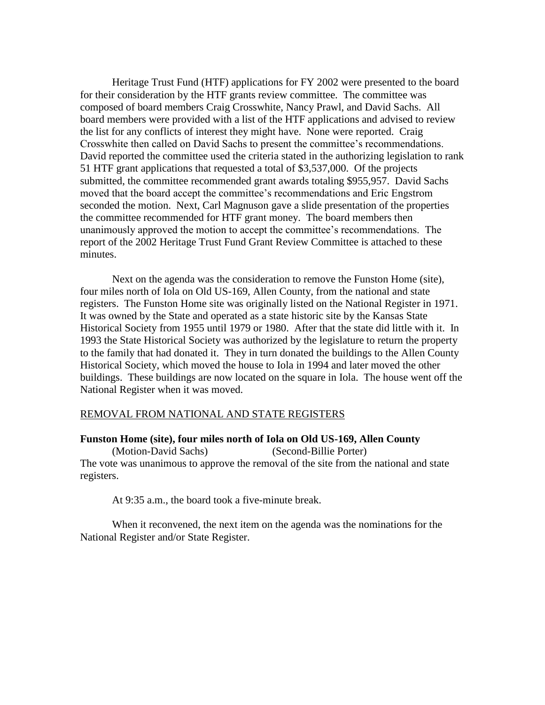Heritage Trust Fund (HTF) applications for FY 2002 were presented to the board for their consideration by the HTF grants review committee. The committee was composed of board members Craig Crosswhite, Nancy Prawl, and David Sachs. All board members were provided with a list of the HTF applications and advised to review the list for any conflicts of interest they might have. None were reported. Craig Crosswhite then called on David Sachs to present the committee's recommendations. David reported the committee used the criteria stated in the authorizing legislation to rank 51 HTF grant applications that requested a total of \$3,537,000. Of the projects submitted, the committee recommended grant awards totaling \$955,957. David Sachs moved that the board accept the committee's recommendations and Eric Engstrom seconded the motion. Next, Carl Magnuson gave a slide presentation of the properties the committee recommended for HTF grant money. The board members then unanimously approved the motion to accept the committee's recommendations. The report of the 2002 Heritage Trust Fund Grant Review Committee is attached to these minutes.

Next on the agenda was the consideration to remove the Funston Home (site), four miles north of Iola on Old US-169, Allen County, from the national and state registers. The Funston Home site was originally listed on the National Register in 1971. It was owned by the State and operated as a state historic site by the Kansas State Historical Society from 1955 until 1979 or 1980. After that the state did little with it. In 1993 the State Historical Society was authorized by the legislature to return the property to the family that had donated it. They in turn donated the buildings to the Allen County Historical Society, which moved the house to Iola in 1994 and later moved the other buildings. These buildings are now located on the square in Iola. The house went off the National Register when it was moved.

#### REMOVAL FROM NATIONAL AND STATE REGISTERS

#### **Funston Home (site), four miles north of Iola on Old US-169, Allen County**

(Motion-David Sachs) (Second-Billie Porter) The vote was unanimous to approve the removal of the site from the national and state registers.

At 9:35 a.m., the board took a five-minute break.

When it reconvened, the next item on the agenda was the nominations for the National Register and/or State Register.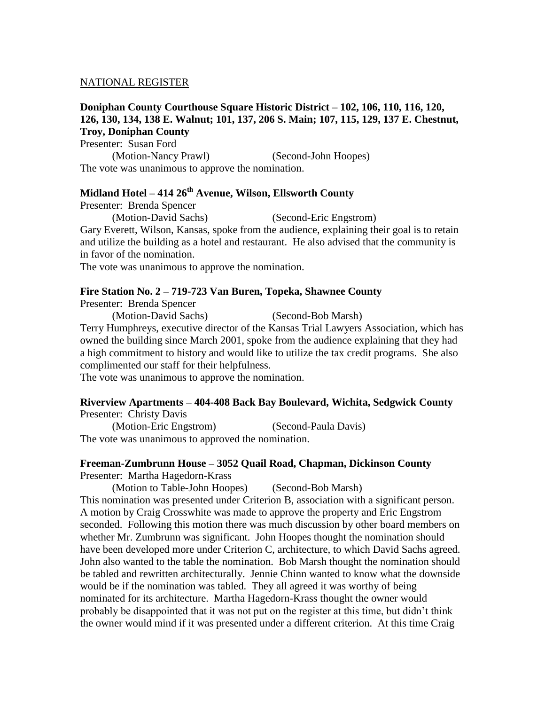#### NATIONAL REGISTER

#### **Doniphan County Courthouse Square Historic District – 102, 106, 110, 116, 120, 126, 130, 134, 138 E. Walnut; 101, 137, 206 S. Main; 107, 115, 129, 137 E. Chestnut, Troy, Doniphan County**

Presenter: Susan Ford (Motion-Nancy Prawl) (Second-John Hoopes) The vote was unanimous to approve the nomination.

## **Midland Hotel – 414 26th Avenue, Wilson, Ellsworth County**

Presenter: Brenda Spencer

(Motion-David Sachs) (Second-Eric Engstrom)

Gary Everett, Wilson, Kansas, spoke from the audience, explaining their goal is to retain and utilize the building as a hotel and restaurant. He also advised that the community is in favor of the nomination.

The vote was unanimous to approve the nomination.

#### **Fire Station No. 2 – 719-723 Van Buren, Topeka, Shawnee County**

Presenter: Brenda Spencer

(Motion-David Sachs) (Second-Bob Marsh)

Terry Humphreys, executive director of the Kansas Trial Lawyers Association, which has owned the building since March 2001, spoke from the audience explaining that they had a high commitment to history and would like to utilize the tax credit programs. She also complimented our staff for their helpfulness.

The vote was unanimous to approve the nomination.

#### **Riverview Apartments – 404-408 Back Bay Boulevard, Wichita, Sedgwick County** Presenter: Christy Davis

(Motion-Eric Engstrom) (Second-Paula Davis) The vote was unanimous to approved the nomination.

#### **Freeman-Zumbrunn House – 3052 Quail Road, Chapman, Dickinson County** Presenter: Martha Hagedorn-Krass

(Motion to Table-John Hoopes) (Second-Bob Marsh) This nomination was presented under Criterion B, association with a significant person. A motion by Craig Crosswhite was made to approve the property and Eric Engstrom seconded. Following this motion there was much discussion by other board members on whether Mr. Zumbrunn was significant. John Hoopes thought the nomination should have been developed more under Criterion C, architecture, to which David Sachs agreed. John also wanted to the table the nomination. Bob Marsh thought the nomination should be tabled and rewritten architecturally. Jennie Chinn wanted to know what the downside would be if the nomination was tabled. They all agreed it was worthy of being nominated for its architecture. Martha Hagedorn-Krass thought the owner would probably be disappointed that it was not put on the register at this time, but didn't think the owner would mind if it was presented under a different criterion. At this time Craig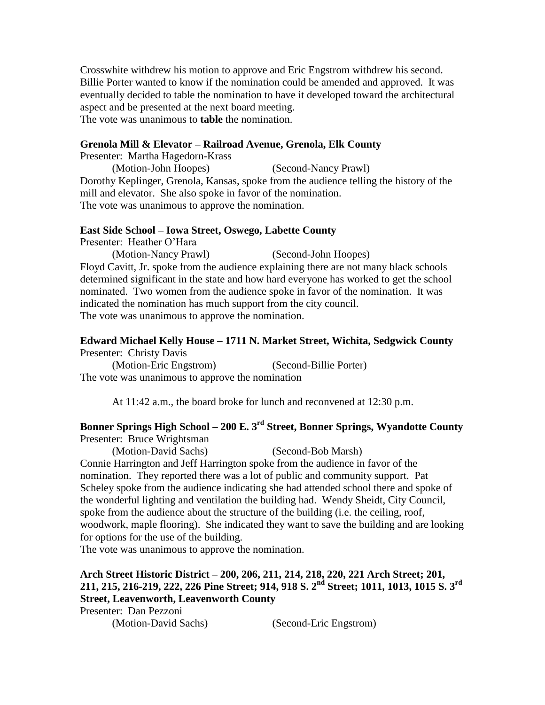Crosswhite withdrew his motion to approve and Eric Engstrom withdrew his second. Billie Porter wanted to know if the nomination could be amended and approved. It was eventually decided to table the nomination to have it developed toward the architectural aspect and be presented at the next board meeting. The vote was unanimous to **table** the nomination.

#### **Grenola Mill & Elevator – Railroad Avenue, Grenola, Elk County**

Presenter: Martha Hagedorn-Krass

(Motion-John Hoopes) (Second-Nancy Prawl) Dorothy Keplinger, Grenola, Kansas, spoke from the audience telling the history of the mill and elevator. She also spoke in favor of the nomination. The vote was unanimous to approve the nomination.

#### **East Side School – Iowa Street, Oswego, Labette County**

Presenter: Heather O'Hara

(Motion-Nancy Prawl) (Second-John Hoopes) Floyd Cavitt, Jr. spoke from the audience explaining there are not many black schools determined significant in the state and how hard everyone has worked to get the school nominated. Two women from the audience spoke in favor of the nomination. It was indicated the nomination has much support from the city council. The vote was unanimous to approve the nomination.

#### **Edward Michael Kelly House – 1711 N. Market Street, Wichita, Sedgwick County** Presenter: Christy Davis

(Motion-Eric Engstrom) (Second-Billie Porter) The vote was unanimous to approve the nomination

At 11:42 a.m., the board broke for lunch and reconvened at 12:30 p.m.

## **Bonner Springs High School – 200 E. 3rd Street, Bonner Springs, Wyandotte County** Presenter: Bruce Wrightsman

(Motion-David Sachs) (Second-Bob Marsh)

Connie Harrington and Jeff Harrington spoke from the audience in favor of the nomination. They reported there was a lot of public and community support. Pat Scheley spoke from the audience indicating she had attended school there and spoke of the wonderful lighting and ventilation the building had. Wendy Sheidt, City Council, spoke from the audience about the structure of the building (i.e. the ceiling, roof, woodwork, maple flooring). She indicated they want to save the building and are looking for options for the use of the building.

The vote was unanimous to approve the nomination.

**Arch Street Historic District – 200, 206, 211, 214, 218, 220, 221 Arch Street; 201, 211, 215, 216-219, 222, 226 Pine Street; 914, 918 S. 2nd Street; 1011, 1013, 1015 S. 3rd Street, Leavenworth, Leavenworth County**

Presenter: Dan Pezzoni

(Motion-David Sachs) (Second-Eric Engstrom)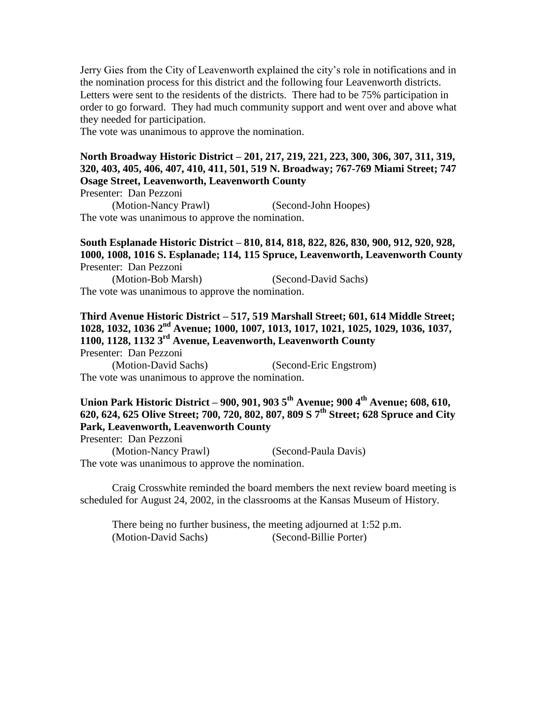Jerry Gies from the City of Leavenworth explained the city's role in notifications and in the nomination process for this district and the following four Leavenworth districts. Letters were sent to the residents of the districts. There had to be 75% participation in order to go forward. They had much community support and went over and above what they needed for participation.

The vote was unanimous to approve the nomination.

## **North Broadway Historic District – 201, 217, 219, 221, 223, 300, 306, 307, 311, 319, 320, 403, 405, 406, 407, 410, 411, 501, 519 N. Broadway; 767-769 Miami Street; 747 Osage Street, Leavenworth, Leavenworth County**

Presenter: Dan Pezzoni

(Motion-Nancy Prawl) (Second-John Hoopes) The vote was unanimous to approve the nomination.

#### **South Esplanade Historic District – 810, 814, 818, 822, 826, 830, 900, 912, 920, 928, 1000, 1008, 1016 S. Esplanade; 114, 115 Spruce, Leavenworth, Leavenworth County** Presenter: Dan Pezzoni

(Motion-Bob Marsh) (Second-David Sachs) The vote was unanimous to approve the nomination.

#### **Third Avenue Historic District – 517, 519 Marshall Street; 601, 614 Middle Street; 1028, 1032, 1036 2nd Avenue; 1000, 1007, 1013, 1017, 1021, 1025, 1029, 1036, 1037, 1100, 1128, 1132 3rd Avenue, Leavenworth, Leavenworth County** Presenter: Dan Pezzoni

(Motion-David Sachs) (Second-Eric Engstrom) The vote was unanimous to approve the nomination.

## **Union Park Historic District – 900, 901, 903 5th Avenue; 900 4th Avenue; 608, 610, 620, 624, 625 Olive Street; 700, 720, 802, 807, 809 S 7th Street; 628 Spruce and City Park, Leavenworth, Leavenworth County**

Presenter: Dan Pezzoni

(Motion-Nancy Prawl) (Second-Paula Davis) The vote was unanimous to approve the nomination.

Craig Crosswhite reminded the board members the next review board meeting is scheduled for August 24, 2002, in the classrooms at the Kansas Museum of History.

There being no further business, the meeting adjourned at 1:52 p.m. (Motion-David Sachs) (Second-Billie Porter)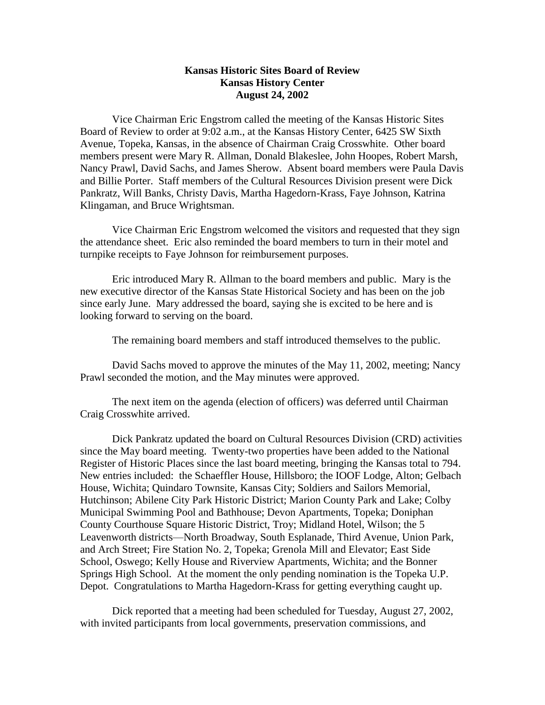### **Kansas Historic Sites Board of Review Kansas History Center August 24, 2002**

Vice Chairman Eric Engstrom called the meeting of the Kansas Historic Sites Board of Review to order at 9:02 a.m., at the Kansas History Center, 6425 SW Sixth Avenue, Topeka, Kansas, in the absence of Chairman Craig Crosswhite. Other board members present were Mary R. Allman, Donald Blakeslee, John Hoopes, Robert Marsh, Nancy Prawl, David Sachs, and James Sherow. Absent board members were Paula Davis and Billie Porter. Staff members of the Cultural Resources Division present were Dick Pankratz, Will Banks, Christy Davis, Martha Hagedorn-Krass, Faye Johnson, Katrina Klingaman, and Bruce Wrightsman.

Vice Chairman Eric Engstrom welcomed the visitors and requested that they sign the attendance sheet. Eric also reminded the board members to turn in their motel and turnpike receipts to Faye Johnson for reimbursement purposes.

Eric introduced Mary R. Allman to the board members and public. Mary is the new executive director of the Kansas State Historical Society and has been on the job since early June. Mary addressed the board, saying she is excited to be here and is looking forward to serving on the board.

The remaining board members and staff introduced themselves to the public.

David Sachs moved to approve the minutes of the May 11, 2002, meeting; Nancy Prawl seconded the motion, and the May minutes were approved.

The next item on the agenda (election of officers) was deferred until Chairman Craig Crosswhite arrived.

Dick Pankratz updated the board on Cultural Resources Division (CRD) activities since the May board meeting. Twenty-two properties have been added to the National Register of Historic Places since the last board meeting, bringing the Kansas total to 794. New entries included: the Schaeffler House, Hillsboro; the IOOF Lodge, Alton; Gelbach House, Wichita; Quindaro Townsite, Kansas City; Soldiers and Sailors Memorial, Hutchinson; Abilene City Park Historic District; Marion County Park and Lake; Colby Municipal Swimming Pool and Bathhouse; Devon Apartments, Topeka; Doniphan County Courthouse Square Historic District, Troy; Midland Hotel, Wilson; the 5 Leavenworth districts—North Broadway, South Esplanade, Third Avenue, Union Park, and Arch Street; Fire Station No. 2, Topeka; Grenola Mill and Elevator; East Side School, Oswego; Kelly House and Riverview Apartments, Wichita; and the Bonner Springs High School. At the moment the only pending nomination is the Topeka U.P. Depot. Congratulations to Martha Hagedorn-Krass for getting everything caught up.

Dick reported that a meeting had been scheduled for Tuesday, August 27, 2002, with invited participants from local governments, preservation commissions, and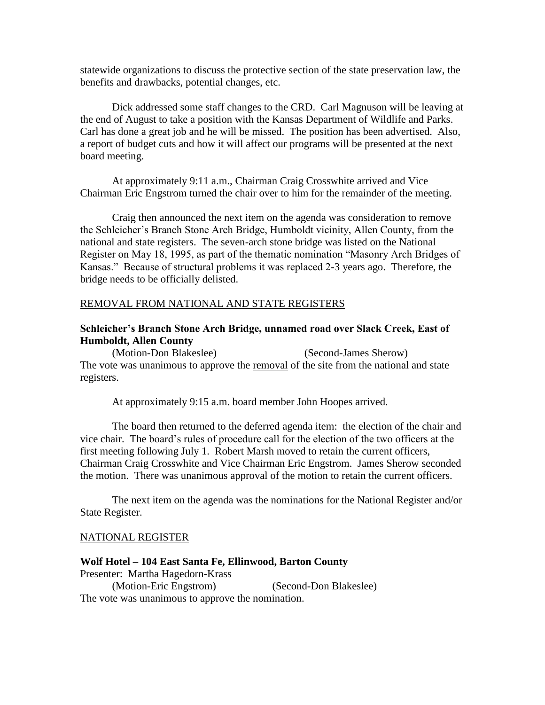statewide organizations to discuss the protective section of the state preservation law, the benefits and drawbacks, potential changes, etc.

Dick addressed some staff changes to the CRD. Carl Magnuson will be leaving at the end of August to take a position with the Kansas Department of Wildlife and Parks. Carl has done a great job and he will be missed. The position has been advertised. Also, a report of budget cuts and how it will affect our programs will be presented at the next board meeting.

At approximately 9:11 a.m., Chairman Craig Crosswhite arrived and Vice Chairman Eric Engstrom turned the chair over to him for the remainder of the meeting.

Craig then announced the next item on the agenda was consideration to remove the Schleicher's Branch Stone Arch Bridge, Humboldt vicinity, Allen County, from the national and state registers. The seven-arch stone bridge was listed on the National Register on May 18, 1995, as part of the thematic nomination "Masonry Arch Bridges of Kansas." Because of structural problems it was replaced 2-3 years ago. Therefore, the bridge needs to be officially delisted.

#### REMOVAL FROM NATIONAL AND STATE REGISTERS

## **Schleicher's Branch Stone Arch Bridge, unnamed road over Slack Creek, East of Humboldt, Allen County**

(Motion-Don Blakeslee) (Second-James Sherow) The vote was unanimous to approve the removal of the site from the national and state registers.

At approximately 9:15 a.m. board member John Hoopes arrived.

The board then returned to the deferred agenda item: the election of the chair and vice chair. The board's rules of procedure call for the election of the two officers at the first meeting following July 1. Robert Marsh moved to retain the current officers, Chairman Craig Crosswhite and Vice Chairman Eric Engstrom. James Sherow seconded the motion. There was unanimous approval of the motion to retain the current officers.

The next item on the agenda was the nominations for the National Register and/or State Register.

#### NATIONAL REGISTER

#### **Wolf Hotel – 104 East Santa Fe, Ellinwood, Barton County** Presenter: Martha Hagedorn-Krass (Motion-Eric Engstrom) (Second-Don Blakeslee) The vote was unanimous to approve the nomination.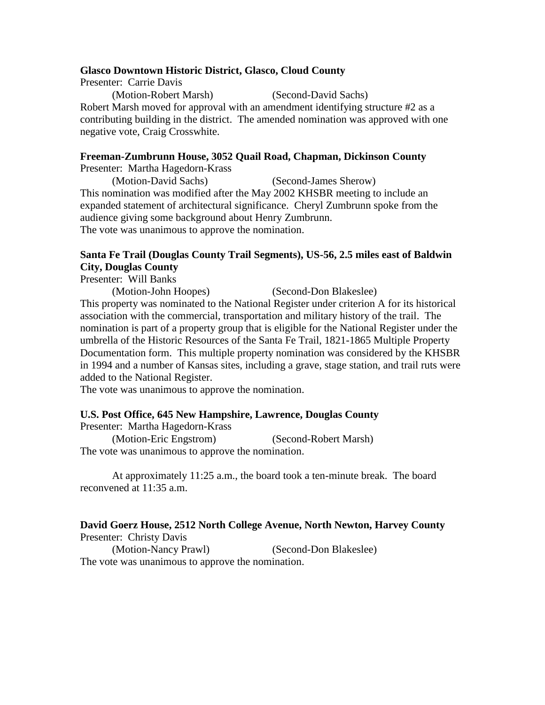#### **Glasco Downtown Historic District, Glasco, Cloud County**

Presenter: Carrie Davis (Motion-Robert Marsh) (Second-David Sachs) Robert Marsh moved for approval with an amendment identifying structure #2 as a contributing building in the district. The amended nomination was approved with one negative vote, Craig Crosswhite.

## **Freeman-Zumbrunn House, 3052 Quail Road, Chapman, Dickinson County**

Presenter: Martha Hagedorn-Krass

(Motion-David Sachs) (Second-James Sherow) This nomination was modified after the May 2002 KHSBR meeting to include an expanded statement of architectural significance. Cheryl Zumbrunn spoke from the audience giving some background about Henry Zumbrunn. The vote was unanimous to approve the nomination.

#### **Santa Fe Trail (Douglas County Trail Segments), US-56, 2.5 miles east of Baldwin City, Douglas County**

Presenter: Will Banks

(Motion-John Hoopes) (Second-Don Blakeslee)

This property was nominated to the National Register under criterion A for its historical association with the commercial, transportation and military history of the trail. The nomination is part of a property group that is eligible for the National Register under the umbrella of the Historic Resources of the Santa Fe Trail, 1821-1865 Multiple Property Documentation form. This multiple property nomination was considered by the KHSBR in 1994 and a number of Kansas sites, including a grave, stage station, and trail ruts were added to the National Register.

The vote was unanimous to approve the nomination.

#### **U.S. Post Office, 645 New Hampshire, Lawrence, Douglas County**

Presenter: Martha Hagedorn-Krass

(Motion-Eric Engstrom) (Second-Robert Marsh) The vote was unanimous to approve the nomination.

At approximately 11:25 a.m., the board took a ten-minute break. The board reconvened at 11:35 a.m.

#### **David Goerz House, 2512 North College Avenue, North Newton, Harvey County** Presenter: Christy Davis

(Motion-Nancy Prawl) (Second-Don Blakeslee) The vote was unanimous to approve the nomination.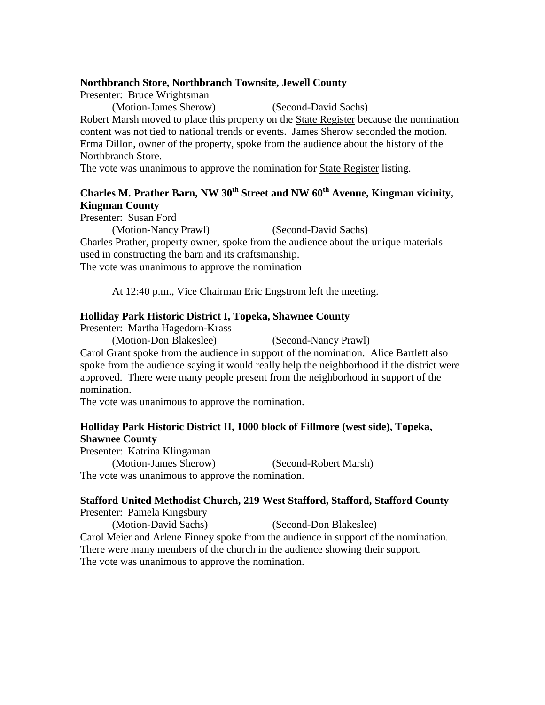#### **Northbranch Store, Northbranch Townsite, Jewell County**

Presenter: Bruce Wrightsman

(Motion-James Sherow) (Second-David Sachs)

Robert Marsh moved to place this property on the State Register because the nomination content was not tied to national trends or events. James Sherow seconded the motion. Erma Dillon, owner of the property, spoke from the audience about the history of the Northbranch Store.

The vote was unanimous to approve the nomination for State Register listing.

## **Charles M. Prather Barn, NW 30th Street and NW 60th Avenue, Kingman vicinity, Kingman County**

Presenter: Susan Ford

(Motion-Nancy Prawl) (Second-David Sachs) Charles Prather, property owner, spoke from the audience about the unique materials used in constructing the barn and its craftsmanship. The vote was unanimous to approve the nomination

At 12:40 p.m., Vice Chairman Eric Engstrom left the meeting.

## **Holliday Park Historic District I, Topeka, Shawnee County**

Presenter: Martha Hagedorn-Krass

(Motion-Don Blakeslee) (Second-Nancy Prawl)

Carol Grant spoke from the audience in support of the nomination. Alice Bartlett also spoke from the audience saying it would really help the neighborhood if the district were approved. There were many people present from the neighborhood in support of the nomination.

The vote was unanimous to approve the nomination.

## **Holliday Park Historic District II, 1000 block of Fillmore (west side), Topeka, Shawnee County**

Presenter: Katrina Klingaman (Motion-James Sherow) (Second-Robert Marsh) The vote was unanimous to approve the nomination.

# **Stafford United Methodist Church, 219 West Stafford, Stafford, Stafford County**

Presenter: Pamela Kingsbury (Motion-David Sachs) (Second-Don Blakeslee) Carol Meier and Arlene Finney spoke from the audience in support of the nomination. There were many members of the church in the audience showing their support. The vote was unanimous to approve the nomination.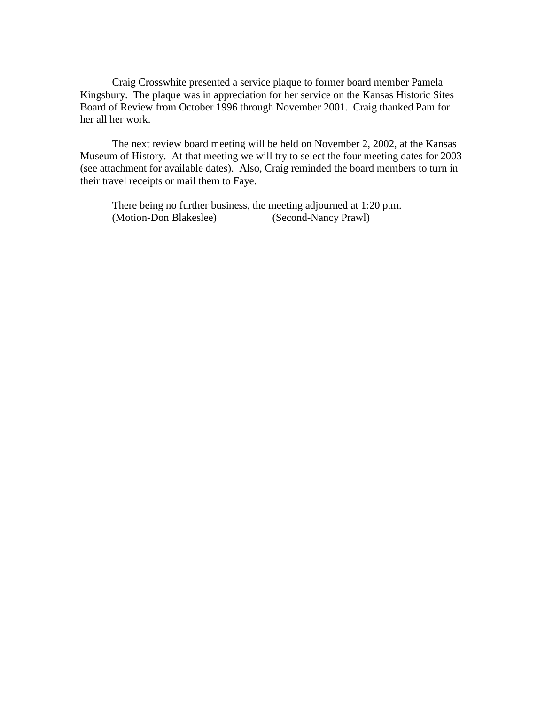Craig Crosswhite presented a service plaque to former board member Pamela Kingsbury. The plaque was in appreciation for her service on the Kansas Historic Sites Board of Review from October 1996 through November 2001. Craig thanked Pam for her all her work.

The next review board meeting will be held on November 2, 2002, at the Kansas Museum of History. At that meeting we will try to select the four meeting dates for 2003 (see attachment for available dates). Also, Craig reminded the board members to turn in their travel receipts or mail them to Faye.

There being no further business, the meeting adjourned at 1:20 p.m. (Motion-Don Blakeslee) (Second-Nancy Prawl)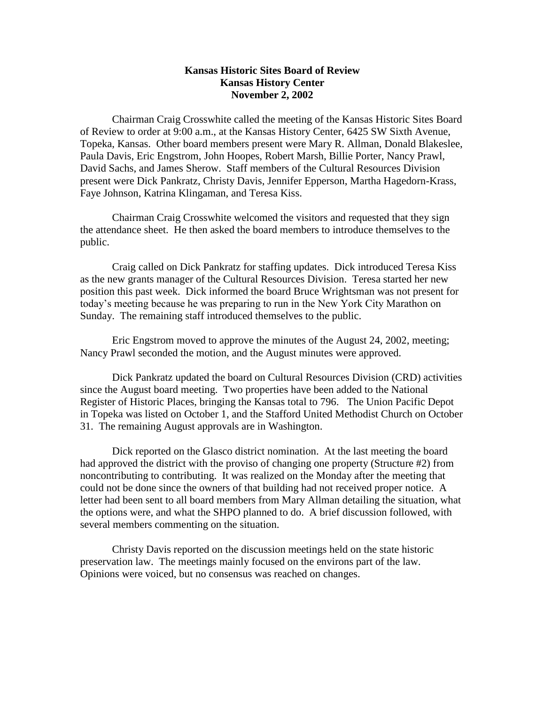#### **Kansas Historic Sites Board of Review Kansas History Center November 2, 2002**

Chairman Craig Crosswhite called the meeting of the Kansas Historic Sites Board of Review to order at 9:00 a.m., at the Kansas History Center, 6425 SW Sixth Avenue, Topeka, Kansas. Other board members present were Mary R. Allman, Donald Blakeslee, Paula Davis, Eric Engstrom, John Hoopes, Robert Marsh, Billie Porter, Nancy Prawl, David Sachs, and James Sherow. Staff members of the Cultural Resources Division present were Dick Pankratz, Christy Davis, Jennifer Epperson, Martha Hagedorn-Krass, Faye Johnson, Katrina Klingaman, and Teresa Kiss.

Chairman Craig Crosswhite welcomed the visitors and requested that they sign the attendance sheet. He then asked the board members to introduce themselves to the public.

Craig called on Dick Pankratz for staffing updates. Dick introduced Teresa Kiss as the new grants manager of the Cultural Resources Division. Teresa started her new position this past week. Dick informed the board Bruce Wrightsman was not present for today's meeting because he was preparing to run in the New York City Marathon on Sunday. The remaining staff introduced themselves to the public.

Eric Engstrom moved to approve the minutes of the August 24, 2002, meeting; Nancy Prawl seconded the motion, and the August minutes were approved.

Dick Pankratz updated the board on Cultural Resources Division (CRD) activities since the August board meeting. Two properties have been added to the National Register of Historic Places, bringing the Kansas total to 796. The Union Pacific Depot in Topeka was listed on October 1, and the Stafford United Methodist Church on October 31. The remaining August approvals are in Washington.

Dick reported on the Glasco district nomination. At the last meeting the board had approved the district with the proviso of changing one property (Structure #2) from noncontributing to contributing. It was realized on the Monday after the meeting that could not be done since the owners of that building had not received proper notice. A letter had been sent to all board members from Mary Allman detailing the situation, what the options were, and what the SHPO planned to do. A brief discussion followed, with several members commenting on the situation.

Christy Davis reported on the discussion meetings held on the state historic preservation law. The meetings mainly focused on the environs part of the law. Opinions were voiced, but no consensus was reached on changes.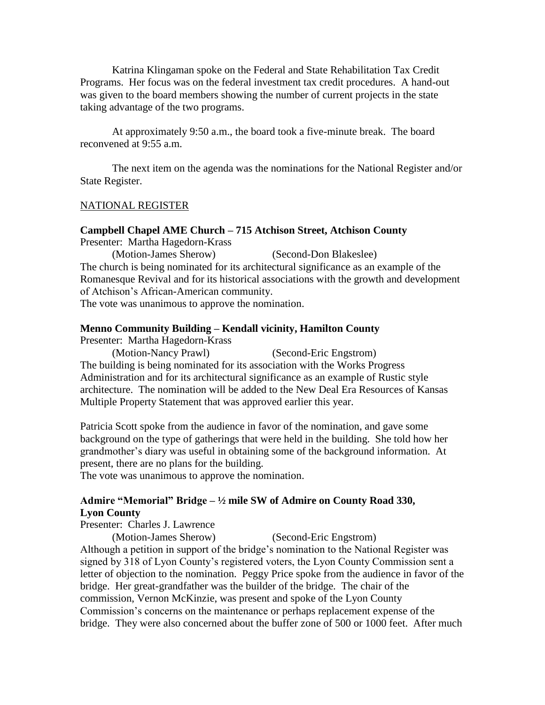Katrina Klingaman spoke on the Federal and State Rehabilitation Tax Credit Programs. Her focus was on the federal investment tax credit procedures. A hand-out was given to the board members showing the number of current projects in the state taking advantage of the two programs.

At approximately 9:50 a.m., the board took a five-minute break. The board reconvened at 9:55 a.m.

The next item on the agenda was the nominations for the National Register and/or State Register.

#### NATIONAL REGISTER

# **Campbell Chapel AME Church – 715 Atchison Street, Atchison County**

Presenter: Martha Hagedorn-Krass

(Motion-James Sherow) (Second-Don Blakeslee) The church is being nominated for its architectural significance as an example of the Romanesque Revival and for its historical associations with the growth and development of Atchison's African-American community.

The vote was unanimous to approve the nomination.

### **Menno Community Building – Kendall vicinity, Hamilton County**

Presenter: Martha Hagedorn-Krass

(Motion-Nancy Prawl) (Second-Eric Engstrom) The building is being nominated for its association with the Works Progress Administration and for its architectural significance as an example of Rustic style architecture. The nomination will be added to the New Deal Era Resources of Kansas Multiple Property Statement that was approved earlier this year.

Patricia Scott spoke from the audience in favor of the nomination, and gave some background on the type of gatherings that were held in the building. She told how her grandmother's diary was useful in obtaining some of the background information. At present, there are no plans for the building.

The vote was unanimous to approve the nomination.

## **Admire "Memorial" Bridge – ½ mile SW of Admire on County Road 330, Lyon County**

Presenter: Charles J. Lawrence

(Motion-James Sherow) (Second-Eric Engstrom)

Although a petition in support of the bridge's nomination to the National Register was signed by 318 of Lyon County's registered voters, the Lyon County Commission sent a letter of objection to the nomination. Peggy Price spoke from the audience in favor of the bridge. Her great-grandfather was the builder of the bridge. The chair of the commission, Vernon McKinzie, was present and spoke of the Lyon County Commission's concerns on the maintenance or perhaps replacement expense of the bridge. They were also concerned about the buffer zone of 500 or 1000 feet. After much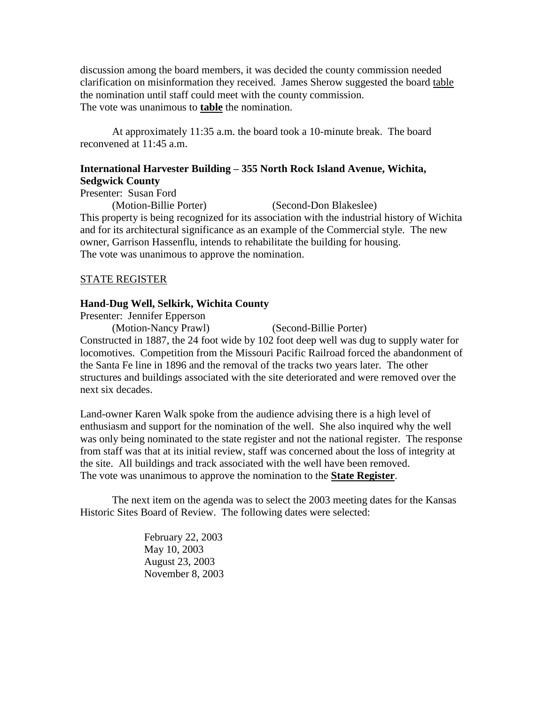discussion among the board members, it was decided the county commission needed clarification on misinformation they received. James Sherow suggested the board table the nomination until staff could meet with the county commission. The vote was unanimous to **table** the nomination.

At approximately 11:35 a.m. the board took a 10-minute break. The board reconvened at 11:45 a.m.

## **International Harvester Building – 355 North Rock Island Avenue, Wichita, Sedgwick County**

Presenter: Susan Ford

(Motion-Billie Porter) (Second-Don Blakeslee) This property is being recognized for its association with the industrial history of Wichita and for its architectural significance as an example of the Commercial style. The new owner, Garrison Hassenflu, intends to rehabilitate the building for housing. The vote was unanimous to approve the nomination.

#### STATE REGISTER

#### **Hand-Dug Well, Selkirk, Wichita County**

Presenter: Jennifer Epperson

(Motion-Nancy Prawl) (Second-Billie Porter) Constructed in 1887, the 24 foot wide by 102 foot deep well was dug to supply water for locomotives. Competition from the Missouri Pacific Railroad forced the abandonment of the Santa Fe line in 1896 and the removal of the tracks two years later. The other structures and buildings associated with the site deteriorated and were removed over the next six decades.

Land-owner Karen Walk spoke from the audience advising there is a high level of enthusiasm and support for the nomination of the well. She also inquired why the well was only being nominated to the state register and not the national register. The response from staff was that at its initial review, staff was concerned about the loss of integrity at the site. All buildings and track associated with the well have been removed. The vote was unanimous to approve the nomination to the **State Register**.

The next item on the agenda was to select the 2003 meeting dates for the Kansas Historic Sites Board of Review. The following dates were selected:

> February 22, 2003 May 10, 2003 August 23, 2003 November 8, 2003